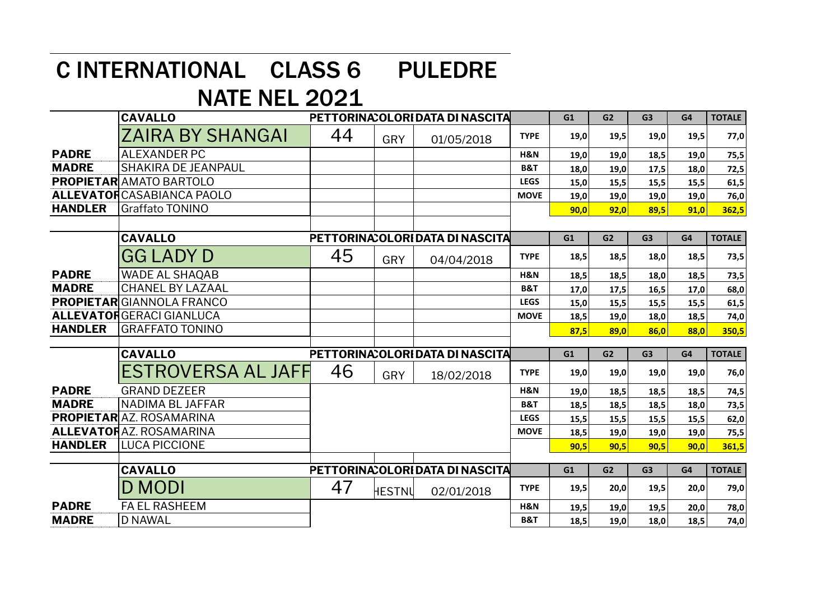## C INTERNATIONAL CLASS 6 PULEDRE

## NATE NEL 2021

|                | <b>CAVALLO</b>                    | PETTORINA: OLORI DATA DI NASCITA |        |                                  |                | G1   | G <sub>2</sub> | G <sub>3</sub> | G4   | <b>TOTALE</b> |
|----------------|-----------------------------------|----------------------------------|--------|----------------------------------|----------------|------|----------------|----------------|------|---------------|
|                | ZAIRA BY SHANGAI                  | 44                               | GRY    | 01/05/2018                       | <b>TYPE</b>    | 19,0 | 19,5           | 19,0           | 19,5 | 77,0          |
| <b>PADRE</b>   | <b>ALEXANDER PC</b>               |                                  |        |                                  | H&N            | 19,0 | 19,0           | 18,5           | 19,0 | 75,5          |
| <b>MADRE</b>   | <b>SHAKIRA DE JEANPAUL</b>        |                                  |        |                                  | <b>B&amp;T</b> | 18,0 | 19,0           | 17,5           | 18,0 | 72,5          |
|                | <b>PROPIETAR</b> AMATO BARTOLO    |                                  |        |                                  | <b>LEGS</b>    | 15,0 | 15,5           | 15,5           | 15,5 | 61,5          |
|                | <b>ALLEVATOR</b> CASABIANCA PAOLO |                                  |        |                                  | <b>MOVE</b>    | 19,0 | 19,0           | 19,0           | 19,0 | 76,0          |
| <b>HANDLER</b> | Graffato TONINO                   |                                  |        |                                  |                | 90,0 | 92,0           | 89,5           | 91,0 | 362,5         |
|                |                                   |                                  |        |                                  |                |      |                |                |      |               |
|                | <b>CAVALLO</b>                    | PETTORINA: OLORI DATA DI NASCITA |        |                                  |                | G1   | G <sub>2</sub> | G <sub>3</sub> | G4   | <b>TOTALE</b> |
|                | <b>GG LADY D</b>                  | 45                               | GRY    | 04/04/2018                       | <b>TYPE</b>    | 18,5 | 18,5           | 18,0           | 18,5 | 73,5          |
| <b>PADRE</b>   | WADE AL SHAQAB                    |                                  |        |                                  | H&N            | 18,5 | 18,5           | 18,0           | 18,5 | 73,5          |
| <b>MADRE</b>   | <b>CHANEL BY LAZAAL</b>           |                                  |        |                                  | <b>B&amp;T</b> | 17,0 | 17,5           | 16,5           | 17,0 | 68,0          |
|                | <b>PROPIETAR</b> GIANNOLA FRANCO  |                                  |        |                                  | <b>LEGS</b>    | 15,0 | 15,5           | 15,5           | 15,5 | 61,5          |
|                | <b>ALLEVATORGERACI GIANLUCA</b>   |                                  |        |                                  | <b>MOVE</b>    | 18,5 | 19,0           | 18,0           | 18,5 | 74,0          |
| <b>HANDLER</b> | <b>GRAFFATO TONINO</b>            |                                  |        |                                  |                | 87,5 | 89,0           | 86,0           | 88,0 | 350,5         |
|                |                                   |                                  |        |                                  |                |      |                |                |      |               |
|                | <b>CAVALLO</b>                    |                                  |        | PETTORINA: OLORI DATA DI NASCITA |                | G1   | G <sub>2</sub> | G3             | G4   | <b>TOTALE</b> |
|                | <b>ESTROVERSA AL JAFF</b>         | 46                               | GRY    | 18/02/2018                       | <b>TYPE</b>    | 19,0 | 19,0           | 19,0           | 19,0 | 76,0          |
| <b>PADRE</b>   | <b>GRAND DEZEER</b>               |                                  |        |                                  | H&N            | 19,0 | 18,5           | 18,5           | 18,5 | 74,5          |
| <b>MADRE</b>   | NADIMA BL JAFFAR                  |                                  |        |                                  | <b>B&amp;T</b> | 18,5 | 18,5           | 18,5           | 18,0 | 73,5          |
|                | <b>PROPIETAR</b> AZ. ROSAMARINA   |                                  |        |                                  | <b>LEGS</b>    | 15,5 | 15,5           | 15,5           | 15,5 | 62,0          |
|                | <b>ALLEVATORAZ. ROSAMARINA</b>    |                                  |        |                                  | <b>MOVE</b>    | 18,5 | 19,0           | 19,0           | 19,0 | 75,5          |
| <b>HANDLER</b> | <b>LUCA PICCIONE</b>              |                                  |        |                                  |                | 90,5 | 90,5           | 90,5           | 90,0 | 361,5         |
|                |                                   |                                  |        |                                  |                |      |                |                |      |               |
|                | <b>CAVALLO</b>                    |                                  |        | PETTORINA: OLORI DATA DI NASCITA |                | G1   | G <sub>2</sub> | G <sub>3</sub> | G4   | <b>TOTALE</b> |
|                | D MODI                            | 47                               | HESTNU | 02/01/2018                       | <b>TYPE</b>    | 19,5 | 20,0           | 19,5           | 20,0 | 79,0          |
| <b>PADRE</b>   | <b>FA EL RASHEEM</b>              |                                  |        |                                  | H&N            | 19,5 | 19,0           | 19,5           | 20,0 | 78,0          |
| <b>MADRE</b>   | <b>D NAWAL</b>                    |                                  |        |                                  | <b>B&amp;T</b> | 18,5 | 19,0           | 18,0           | 18,5 | 74,0          |